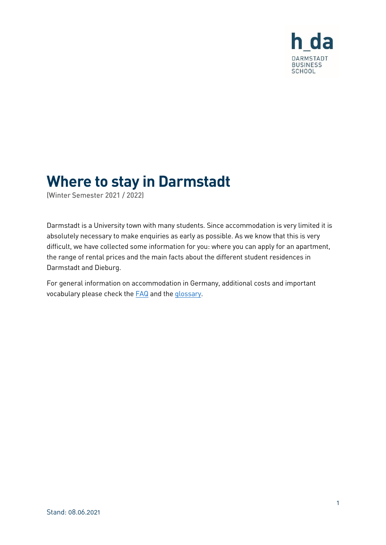

# **Where to stay in Darmstadt**

(Winter Semester 2021 / 2022)

Darmstadt is a University town with many students. Since accommodation is very limited it is absolutely necessary to make enquiries as early as possible. As we know that this is very difficult, we have collected some information for you: where you can apply for an apartment, the range of rental prices and the main facts about the different student residences in Darmstadt and Dieburg.

For general information on accommodation in Germany, additional costs and important vocabulary please check the **FAQ** and the [glossary.](https://mba.h-da.de/index.php?id=670)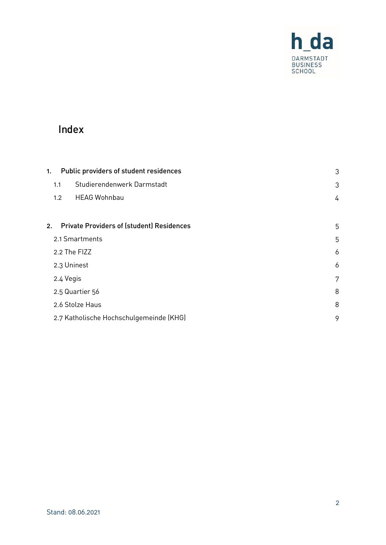

# Index

| Public providers of student residences<br>1. |                                                  | 3 |
|----------------------------------------------|--------------------------------------------------|---|
| 1.1                                          | Studierendenwerk Darmstadt                       | 3 |
| 1.2                                          | <b>HEAG Wohnbau</b>                              | 4 |
| 2.                                           | <b>Private Providers of (student) Residences</b> | 5 |
| 2.1 Smartments                               |                                                  | 5 |
| 2.2 The FIZZ                                 |                                                  | 6 |
| 2.3 Uninest                                  |                                                  | 6 |
| 2.4 Vegis                                    |                                                  | 7 |
| 2.5 Quartier 56                              |                                                  | 8 |
| 2.6 Stolze Haus                              |                                                  | 8 |
| 2.7 Katholische Hochschulgemeinde (KHG)      |                                                  | 9 |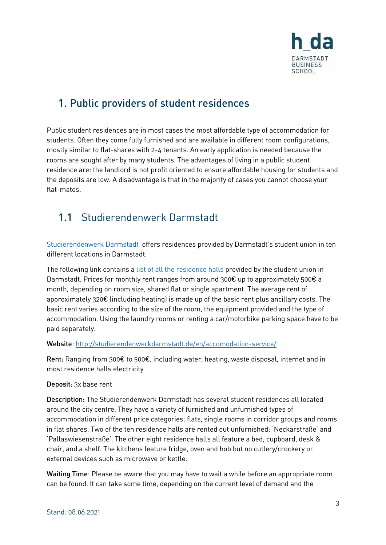

### <span id="page-2-0"></span>1. Public providers of student residences

Public student residences are in most cases the most affordable type of accommodation for students. Often they come fully furnished and are available in different room configurations, mostly similar to flat-shares with 2-4 tenants. An early application is needed because the rooms are sought after by many students. The advantages of living in a public student residence are: the landlord is not profit oriented to ensure affordable housing for students and the deposits are low. A disadvantage is that in the majority of cases you cannot choose your flat-mates.

# <span id="page-2-1"></span>1.1 Studierendenwerk Darmstadt

[Studierendenwerk Darmstadt](https://studierendenwerkdarmstadt.de/en/accomodation-service/) offers residences provided by Darmstadt's student union in ten different locations in Darmstadt.

The following link contains a [list of all the residence halls](https://studierendenwerkdarmstadt.de/en/accomodation-service/wohnanlagen/) provided by the student union in Darmstadt. Prices for monthly rent ranges from around 300€ up to approximately 500€ a month, depending on room size, shared flat or single apartment. The average rent of approximately 320€ (including heating) is made up of the basic rent plus ancillary costs. The basic rent varies according to the size of the room, the equipment provided and the type of accommodation. Using the laundry rooms or renting a car/motorbike parking space have to be paid separately.

#### Website[: http://studierendenwerkdarmstadt.de/en/accomodation-service/](http://studierendenwerkdarmstadt.de/en/accomodation-service/)

Rent: Ranging from 300€ to 500€, including water, heating, waste disposal, internet and in most residence halls electricity

#### Deposit: 3x base rent

Description: The Studierendenwerk Darmstadt has several student residences all located around the city centre. They have a variety of furnished and unfurnished types of accommodation in different price categories: flats, single rooms in corridor groups and rooms in flat shares. Two of the ten residence halls are rented out unfurnished: 'Neckarstraße' and 'Pallaswiesenstraße'. The other eight residence halls all feature a bed, cupboard, desk & chair, and a shelf. The kitchens feature fridge, oven and hob but no cutlery/crockery or external devices such as microwave or kettle.

Waiting Time: Please be aware that you may have to wait a while before an appropriate room can be found. It can take some time, depending on the current level of demand and the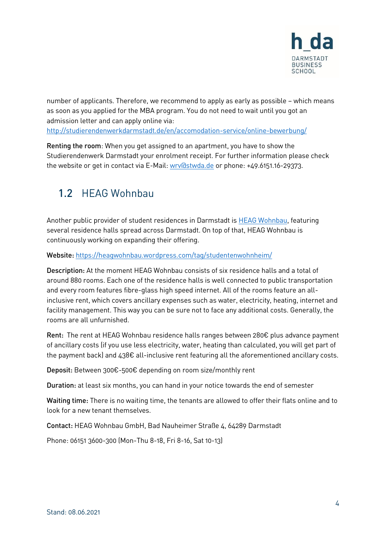

number of applicants. Therefore, we recommend to apply as early as possible – which means as soon as you applied for the MBA program. You do not need to wait until you got an admission letter and can apply online via:

<http://studierendenwerkdarmstadt.de/en/accomodation-service/online-bewerbung/>

Renting the room: When you get assigned to an apartment, you have to show the Studierendenwerk Darmstadt your enrolment receipt. For further information please check the website or get in contact via E-Mail: [wrv@stwda.de](mailto:wrv@stwda.de) or phone: +49.6151.16-29373.

# <span id="page-3-0"></span>1.2 HFAG Wohnbau

Another public provider of student residences in Darmstadt is [HEAG Wohnbau,](https://heagwohnbau.wordpress.com/tag/studentenwohnheim/) featuring several residence halls spread across Darmstadt. On top of that, HEAG Wohnbau is continuously working on expanding their offering.

Website: <https://heagwohnbau.wordpress.com/tag/studentenwohnheim/>

Description: At the moment HEAG Wohnbau consists of six residence halls and a total of around 880 rooms. Each one of the residence halls is well connected to public transportation and every room features fibre-glass high speed internet. All of the rooms feature an allinclusive rent, which covers ancillary expenses such as water, electricity, heating, internet and facility management. This way you can be sure not to face any additional costs. Generally, the rooms are all unfurnished.

Rent: The rent at HEAG Wohnbau residence halls ranges between 280€ plus advance payment of ancillary costs (if you use less electricity, water, heating than calculated, you will get part of the payment back) and 438€ all-inclusive rent featuring all the aforementioned ancillary costs.

Deposit: Between 300€-500€ depending on room size/monthly rent

Duration: at least six months, you can hand in your notice towards the end of semester

Waiting time: There is no waiting time, the tenants are allowed to offer their flats online and to look for a new tenant themselves.

Contact: HEAG Wohnbau GmbH, Bad Nauheimer Straße 4, 64289 Darmstadt

Phone: 06151 3600-300 (Mon-Thu 8-18, Fri 8-16, Sat 10-13)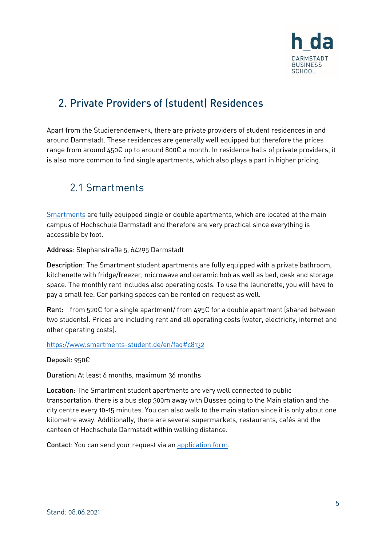

### <span id="page-4-0"></span>2. Private Providers of Istudentl Residences

Apart from the Studierendenwerk, there are private providers of student residences in and around Darmstadt. These residences are generally well equipped but therefore the prices range from around 450€ up to around 800€ a month. In residence halls of private providers, it is also more common to find single apartments, which also plays a part in higher pricing.

### <span id="page-4-1"></span>2.1 Smartments

[Smartments](https://www.smartments-student.de/en/locations/darmstadt-stephanstrasse) are fully equipped single or double apartments, which are located at the main campus of Hochschule Darmstadt and therefore are very practical since everything is accessible by foot.

Address: Stephanstraße 5, 64295 Darmstadt

Description: The Smartment student apartments are fully equipped with a private bathroom, kitchenette with fridge/freezer, microwave and ceramic hob as well as bed, desk and storage space. The monthly rent includes also operating costs. To use the laundrette, you will have to pay a small fee. Car parking spaces can be rented on request as well.

**Rent:** from 520€ for a single apartment/ from 495€ for a double apartment (shared between two students). Prices are including rent and all operating costs (water, electricity, internet and other operating costs).

<https://www.smartments-student.de/en/faq#c8132>

Deposit: 950€

Duration: At least 6 months, maximum 36 months

Location: The Smartment student apartments are very well connected to public transportation, there is a bus stop 300m away with Busses going to the Main station and the city centre every 10-15 minutes. You can also walk to the main station since it is only about one kilometre away. Additionally, there are several supermarkets, restaurants, cafés and the canteen of Hochschule Darmstadt within walking distance.

Contact: You can send your request via an [application form.](https://www.smartments-student.de/en/request)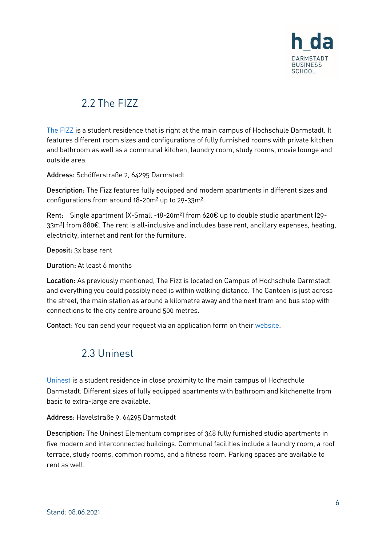

# 2.2 The FI77

<span id="page-5-0"></span>[The FIZZ](https://www.the-fizz.com/en/student-accommodation/darmstadt/) is a student residence that is right at the main campus of Hochschule Darmstadt. It features different room sizes and configurations of fully furnished rooms with private kitchen and bathroom as well as a communal kitchen, laundry room, study rooms, movie lounge and outside area.

Address: Schöfferstraße 2, 64295 Darmstadt

Description: The Fizz features fully equipped and modern apartments in different sizes and configurations from around 18-20m² up to 29-33m².

Rent: Single apartment (X-Small -18-20m²) from 620€ up to double studio apartment (29- 33m<sup>2</sup>) from 880€. The rent is all-inclusive and includes base rent, ancillary expenses, heating, electricity, internet and rent for the furniture.

Deposit: 3x base rent

Duration: At least 6 months

Location: As previously mentioned, The Fizz is located on Campus of Hochschule Darmstadt and everything you could possibly need is within walking distance. The Canteen is just across the street, the main station as around a kilometre away and the next tram and bus stop with connections to the city centre around 500 metres.

<span id="page-5-1"></span>Contact: You can send your request via an application form on their [website.](https://www.the-fizz.com/student-accommodation/darmstadt)

#### 2.3 Uninest

[Uninest](https://www.unineststudents.de/en/worldwide/germany/darmstadt) is a student residence in close proximity to the main campus of Hochschule Darmstadt. Different sizes of fully equipped apartments with bathroom and kitchenette from basic to extra-large are available.

Address: Havelstraße 9, 64295 Darmstadt

Description: The Uninest Elementum comprises of 348 fully furnished studio apartments in five modern and interconnected buildings. Communal facilities include a laundry room, a roof terrace, study rooms, common rooms, and a fitness room. Parking spaces are available to rent as well.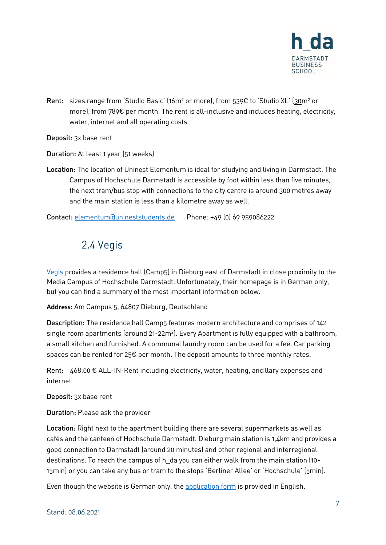

Rent: sizes range from 'Studio Basic' (16m² or more), from 539€ to 'Studio XL' (30m² or more), from 789€ per month. The rent is all-inclusive and includes heating, electricity, water, internet and all operating costs.

#### Deposit: 3x base rent

Duration: At least 1 year (51 weeks)

Location: The location of Uninest Elementum is ideal for studying and living in Darmstadt. The Campus of Hochschule Darmstadt is accessible by foot within less than five minutes, the next tram/bus stop with connections to the city centre is around 300 metres away and the main station is less than a kilometre away as well.

<span id="page-6-0"></span>Contact: [elementum@unineststudents.de](mailto:elementum@unineststudents.de) Phone: +49 (0) 69 959086222

#### 2.4 Vegis

[Vegis](https://vegis-immobilien.de/studentenwohnheime-appartementvermietung/dieburg/) provides a residence hall (Camp5) in Dieburg east of Darmstadt in close proximity to the Media Campus of Hochschule Darmstadt. Unfortunately, their homepage is in German only, but you can find a summary of the most important information below.

**Address:** Am Campus 5, 64807 Dieburg, Deutschland

Description: The residence hall Camp5 features modern architecture and comprises of 142 single room apartments (around 21-22m²). Every Apartment is fully equipped with a bathroom, a small kitchen and furnished. A communal laundry room can be used for a fee. Car parking spaces can be rented for 25€ per month. The deposit amounts to three monthly rates.

Rent:  $468,00 \in \text{ALL-IN-Rent including electricity, water, heating, ancillary expenses and}$ internet

Deposit: 3x base rent

Duration: Please ask the provider

Location: Right next to the apartment building there are several supermarkets as well as cafés and the canteen of Hochschule Darmstadt. Dieburg main station is 1,4km and provides a good connection to Darmstadt (around 20 minutes) and other regional and interregional destinations. To reach the campus of h\_da you can either walk from the main station (10- 15min) or you can take any bus or tram to the stops 'Berliner Allee' or 'Hochschule' (5min).

Even though the website is German only, the [application form](https://vegis-immobilien.de/wp-content/uploads/2020/01/Bewerbungsbogen-neu-Studenten_engl01-20.pdf) is provided in English.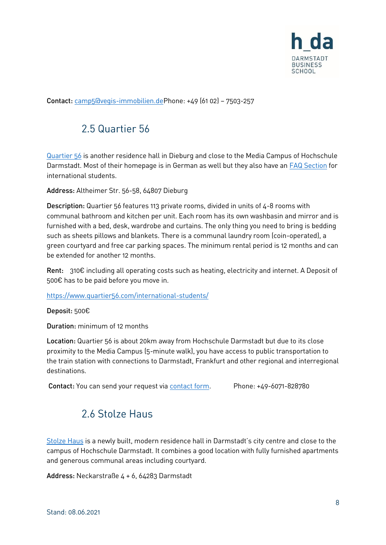

<span id="page-7-0"></span>Contact: [camp5@vegis-immobilien.deP](mailto:camp5@vegis-immobilien.de)hone: +49 (61 02) – 7503-257

### 2.5 Quartier 56

[Quartier 56](https://www.quartier56.com/) is another residence hall in Dieburg and close to the Media Campus of Hochschule Darmstadt. Most of their homepage is in German as well but they also have an **FAQ** Section for international students.

Address: Altheimer Str. 56-58, 64807 Dieburg

Description: Quartier 56 features 113 private rooms, divided in units of 4-8 rooms with communal bathroom and kitchen per unit. Each room has its own washbasin and mirror and is furnished with a bed, desk, wardrobe and curtains. The only thing you need to bring is bedding such as sheets pillows and blankets. There is a communal laundry room (coin-operated), a green courtyard and free car parking spaces. The minimum rental period is 12 months and can be extended for another 12 months.

Rent: 310€ including all operating costs such as heating, electricity and internet. A Deposit of 500€ has to be paid before you move in.

<https://www.quartier56.com/international-students/>

Deposit: 500€

Duration: minimum of 12 months

Location: Quartier 56 is about 20km away from Hochschule Darmstadt but due to its close proximity to the Media Campus (5-minute walk), you have access to public transportation to the train station with connections to Darmstadt, Frankfurt and other regional and interregional destinations.

<span id="page-7-1"></span>Contact: You can send your request vi[a contact form.](https://www.quartier56.com/kontakt) Phone: +49-6071-828780

#### 2.6 Stolze Haus

[Stolze Haus](https://www.stolzehaus.de/en/) is a newly built, modern residence hall in Darmstadt's city centre and close to the campus of Hochschule Darmstadt. It combines a good location with fully furnished apartments and generous communal areas including courtyard.

Address: Neckarstraße 4 + 6, 64283 Darmstadt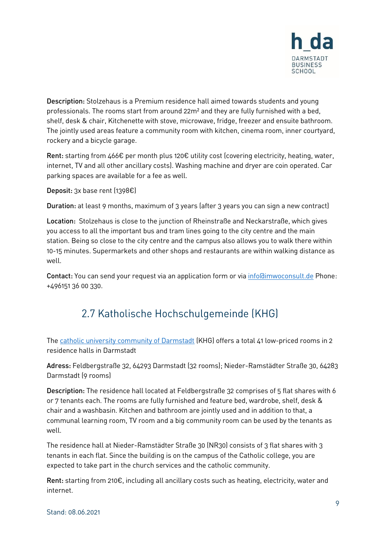

Description: Stolzehaus is a Premium residence hall aimed towards students and young professionals. The rooms start from around 22m² and they are fully furnished with a bed, shelf, desk & chair, Kitchenette with stove, microwave, fridge, freezer and ensuite bathroom. The jointly used areas feature a community room with kitchen, cinema room, inner courtyard, rockery and a bicycle garage.

Rent: starting from 466€ per month plus 120€ utility cost (covering electricity, heating, water, internet, TV and all other ancillary costs). Washing machine and dryer are coin operated. Car parking spaces are available for a fee as well.

Deposit: 3x base rent (1398€)

Duration: at least 9 months, maximum of 3 years (after 3 years you can sign a new contract)

Location: Stolzehaus is close to the junction of Rheinstraße and Neckarstraße, which gives you access to all the important bus and tram lines going to the city centre and the main station. Being so close to the city centre and the campus also allows you to walk there within 10-15 minutes. Supermarkets and other shops and restaurants are within walking distance as well.

<span id="page-8-0"></span>Contact: You can send your request via an application form or via [info@imwoconsult.de](mailto:info@imwoconsult.de) Phone: +496151 36 00 330.

### 2.7 Katholische Hochschulgemeinde (KHG)

The [catholic university community of Darmstadt](https://bistummainz.de/seelsorge/khg/darmstadt/wohnen/) (KHG) offers a total 41 low-priced rooms in 2 residence halls in Darmstadt

Adress: Feldbergstraße 32, 64293 Darmstadt (32 rooms); Nieder-Ramstädter Straße 30, 64283 Darmstadt (9 rooms)

Description: The residence hall located at Feldbergstraße 32 comprises of 5 flat shares with 6 or 7 tenants each. The rooms are fully furnished and feature bed, wardrobe, shelf, desk & chair and a washbasin. Kitchen and bathroom are jointly used and in addition to that, a communal learning room, TV room and a big community room can be used by the tenants as well.

The residence hall at Nieder-Ramstädter Straße 30 (NR30) consists of 3 flat shares with 3 tenants in each flat. Since the building is on the campus of the Catholic college, you are expected to take part in the church services and the catholic community.

Rent: starting from 210€, including all ancillary costs such as heating, electricity, water and internet.